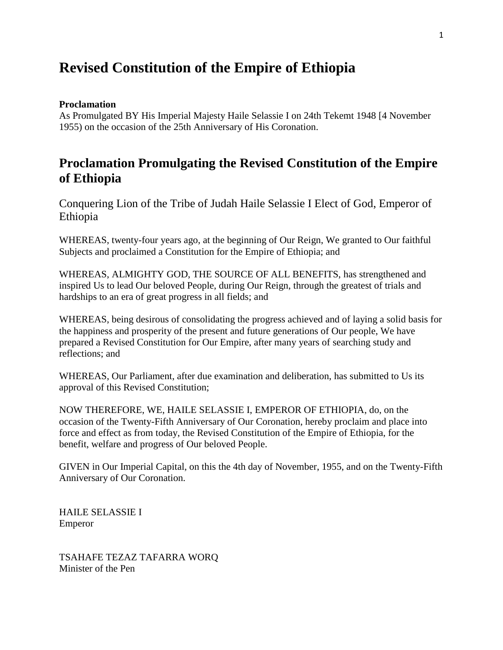# **Revised Constitution of the Empire of Ethiopia**

#### **Proclamation**

As Promulgated BY His Imperial Majesty Haile Selassie I on 24th Tekemt 1948 [4 November 1955) on the occasion of the 25th Anniversary of His Coronation.

# **Proclamation Promulgating the Revised Constitution of the Empire of Ethiopia**

Conquering Lion of the Tribe of Judah Haile Selassie I Elect of God, Emperor of Ethiopia

WHEREAS, twenty-four years ago, at the beginning of Our Reign, We granted to Our faithful Subjects and proclaimed a Constitution for the Empire of Ethiopia; and

WHEREAS, ALMIGHTY GOD, THE SOURCE OF ALL BENEFITS, has strengthened and inspired Us to lead Our beloved People, during Our Reign, through the greatest of trials and hardships to an era of great progress in all fields; and

WHEREAS, being desirous of consolidating the progress achieved and of laying a solid basis for the happiness and prosperity of the present and future generations of Our people, We have prepared a Revised Constitution for Our Empire, after many years of searching study and reflections; and

WHEREAS, Our Parliament, after due examination and deliberation, has submitted to Us its approval of this Revised Constitution;

NOW THEREFORE, WE, HAILE SELASSIE I, EMPEROR OF ETHIOPIA, do, on the occasion of the Twenty-Fifth Anniversary of Our Coronation, hereby proclaim and place into force and effect as from today, the Revised Constitution of the Empire of Ethiopia, for the benefit, welfare and progress of Our beloved People.

GIVEN in Our Imperial Capital, on this the 4th day of November, 1955, and on the Twenty-Fifth Anniversary of Our Coronation.

HAILE SELASSIE I Emperor

TSAHAFE TEZAZ TAFARRA WORQ Minister of the Pen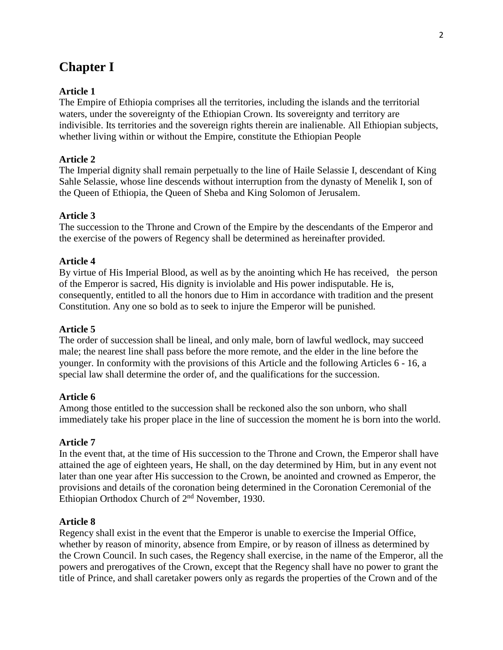# **Chapter I**

# **Article 1**

The Empire of Ethiopia comprises all the territories, including the islands and the territorial waters, under the sovereignty of the Ethiopian Crown. Its sovereignty and territory are indivisible. Its territories and the sovereign rights therein are inalienable. All Ethiopian subjects, whether living within or without the Empire, constitute the Ethiopian People

# **Article 2**

The Imperial dignity shall remain perpetually to the line of Haile Selassie I, descendant of King Sahle Selassie, whose line descends without interruption from the dynasty of Menelik I, son of the Queen of Ethiopia, the Queen of Sheba and King Solomon of Jerusalem.

## **Article 3**

The succession to the Throne and Crown of the Empire by the descendants of the Emperor and the exercise of the powers of Regency shall be determined as hereinafter provided.

#### **Article 4**

By virtue of His Imperial Blood, as well as by the anointing which He has received, the person of the Emperor is sacred, His dignity is inviolable and His power indisputable. He is, consequently, entitled to all the honors due to Him in accordance with tradition and the present Constitution. Any one so bold as to seek to injure the Emperor will be punished.

#### **Article 5**

The order of succession shall be lineal, and only male, born of lawful wedlock, may succeed male; the nearest line shall pass before the more remote, and the elder in the line before the younger. In conformity with the provisions of this Article and the following Articles 6 - 16, a special law shall determine the order of, and the qualifications for the succession.

#### **Article 6**

Among those entitled to the succession shall be reckoned also the son unborn, who shall immediately take his proper place in the line of succession the moment he is born into the world.

#### **Article 7**

In the event that, at the time of His succession to the Throne and Crown, the Emperor shall have attained the age of eighteen years, He shall, on the day determined by Him, but in any event not later than one year after His succession to the Crown, be anointed and crowned as Emperor, the provisions and details of the coronation being determined in the Coronation Ceremonial of the Ethiopian Orthodox Church of  $2<sup>nd</sup>$  November, 1930.

#### **Article 8**

Regency shall exist in the event that the Emperor is unable to exercise the Imperial Office, whether by reason of minority, absence from Empire, or by reason of illness as determined by the Crown Council. In such cases, the Regency shall exercise, in the name of the Emperor, all the powers and prerogatives of the Crown, except that the Regency shall have no power to grant the title of Prince, and shall caretaker powers only as regards the properties of the Crown and of the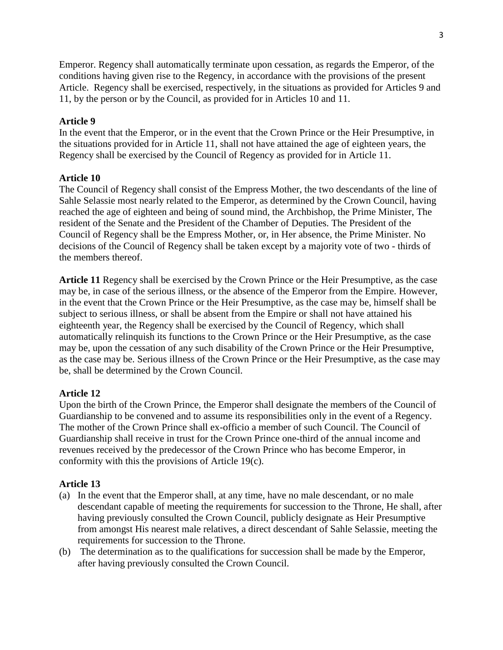Emperor. Regency shall automatically terminate upon cessation, as regards the Emperor, of the conditions having given rise to the Regency, in accordance with the provisions of the present Article. Regency shall be exercised, respectively, in the situations as provided for Articles 9 and 11, by the person or by the Council, as provided for in Articles 10 and 11.

# **Article 9**

In the event that the Emperor, or in the event that the Crown Prince or the Heir Presumptive, in the situations provided for in Article 11, shall not have attained the age of eighteen years, the Regency shall be exercised by the Council of Regency as provided for in Article 11.

# **Article 10**

The Council of Regency shall consist of the Empress Mother, the two descendants of the line of Sahle Selassie most nearly related to the Emperor, as determined by the Crown Council, having reached the age of eighteen and being of sound mind, the Archbishop, the Prime Minister, The resident of the Senate and the President of the Chamber of Deputies. The President of the Council of Regency shall be the Empress Mother, or, in Her absence, the Prime Minister. No decisions of the Council of Regency shall be taken except by a majority vote of two - thirds of the members thereof.

**Article 11** Regency shall be exercised by the Crown Prince or the Heir Presumptive, as the case may be, in case of the serious illness, or the absence of the Emperor from the Empire. However, in the event that the Crown Prince or the Heir Presumptive, as the case may be, himself shall be subject to serious illness, or shall be absent from the Empire or shall not have attained his eighteenth year, the Regency shall be exercised by the Council of Regency, which shall automatically relinquish its functions to the Crown Prince or the Heir Presumptive, as the case may be, upon the cessation of any such disability of the Crown Prince or the Heir Presumptive, as the case may be. Serious illness of the Crown Prince or the Heir Presumptive, as the case may be, shall be determined by the Crown Council.

## **Article 12**

Upon the birth of the Crown Prince, the Emperor shall designate the members of the Council of Guardianship to be convened and to assume its responsibilities only in the event of a Regency. The mother of the Crown Prince shall ex-officio a member of such Council. The Council of Guardianship shall receive in trust for the Crown Prince one-third of the annual income and revenues received by the predecessor of the Crown Prince who has become Emperor, in conformity with this the provisions of Article 19(c).

# **Article 13**

- (a) In the event that the Emperor shall, at any time, have no male descendant, or no male descendant capable of meeting the requirements for succession to the Throne, He shall, after having previously consulted the Crown Council, publicly designate as Heir Presumptive from amongst His nearest male relatives, a direct descendant of Sahle Selassie, meeting the requirements for succession to the Throne.
- (b) The determination as to the qualifications for succession shall be made by the Emperor, after having previously consulted the Crown Council.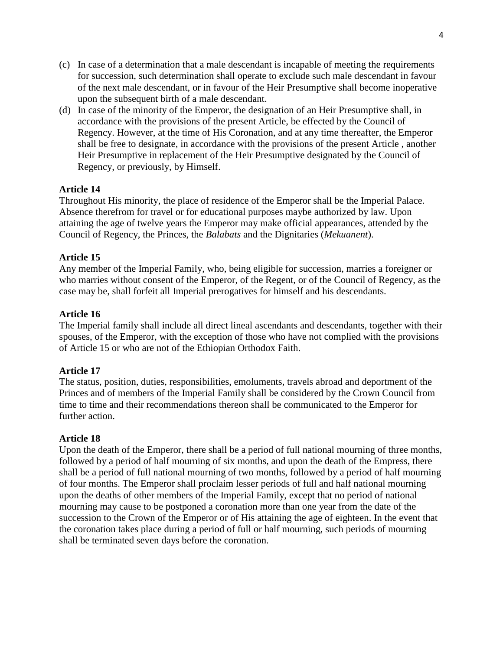- (c) In case of a determination that a male descendant is incapable of meeting the requirements for succession, such determination shall operate to exclude such male descendant in favour of the next male descendant, or in favour of the Heir Presumptive shall become inoperative upon the subsequent birth of a male descendant.
- (d) In case of the minority of the Emperor, the designation of an Heir Presumptive shall, in accordance with the provisions of the present Article, be effected by the Council of Regency. However, at the time of His Coronation, and at any time thereafter, the Emperor shall be free to designate, in accordance with the provisions of the present Article , another Heir Presumptive in replacement of the Heir Presumptive designated by the Council of Regency, or previously, by Himself.

Throughout His minority, the place of residence of the Emperor shall be the Imperial Palace. Absence therefrom for travel or for educational purposes maybe authorized by law. Upon attaining the age of twelve years the Emperor may make official appearances, attended by the Council of Regency, the Princes, the *Balabats* and the Dignitaries (*Mekuanent*).

## **Article 15**

Any member of the Imperial Family, who, being eligible for succession, marries a foreigner or who marries without consent of the Emperor, of the Regent, or of the Council of Regency, as the case may be, shall forfeit all Imperial prerogatives for himself and his descendants.

## **Article 16**

The Imperial family shall include all direct lineal ascendants and descendants, together with their spouses, of the Emperor, with the exception of those who have not complied with the provisions of Article 15 or who are not of the Ethiopian Orthodox Faith.

## **Article 17**

The status, position, duties, responsibilities, emoluments, travels abroad and deportment of the Princes and of members of the Imperial Family shall be considered by the Crown Council from time to time and their recommendations thereon shall be communicated to the Emperor for further action.

#### **Article 18**

Upon the death of the Emperor, there shall be a period of full national mourning of three months, followed by a period of half mourning of six months, and upon the death of the Empress, there shall be a period of full national mourning of two months, followed by a period of half mourning of four months. The Emperor shall proclaim lesser periods of full and half national mourning upon the deaths of other members of the Imperial Family, except that no period of national mourning may cause to be postponed a coronation more than one year from the date of the succession to the Crown of the Emperor or of His attaining the age of eighteen. In the event that the coronation takes place during a period of full or half mourning, such periods of mourning shall be terminated seven days before the coronation.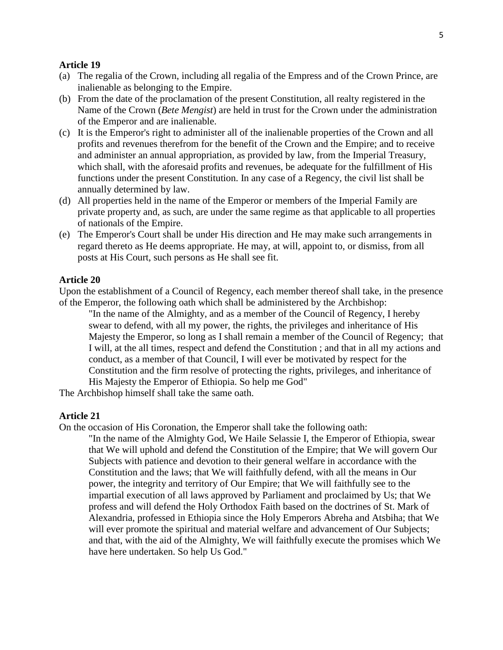- (a) The regalia of the Crown, including all regalia of the Empress and of the Crown Prince, are inalienable as belonging to the Empire.
- (b) From the date of the proclamation of the present Constitution, all realty registered in the Name of the Crown (*Bete Mengist*) are held in trust for the Crown under the administration of the Emperor and are inalienable.
- (c) It is the Emperor's right to administer all of the inalienable properties of the Crown and all profits and revenues therefrom for the benefit of the Crown and the Empire; and to receive and administer an annual appropriation, as provided by law, from the Imperial Treasury, which shall, with the aforesaid profits and revenues, be adequate for the fulfillment of His functions under the present Constitution. In any case of a Regency, the civil list shall be annually determined by law.
- (d) All properties held in the name of the Emperor or members of the Imperial Family are private property and, as such, are under the same regime as that applicable to all properties of nationals of the Empire.
- (e) The Emperor's Court shall be under His direction and He may make such arrangements in regard thereto as He deems appropriate. He may, at will, appoint to, or dismiss, from all posts at His Court, such persons as He shall see fit.

#### **Article 20**

Upon the establishment of a Council of Regency, each member thereof shall take, in the presence of the Emperor, the following oath which shall be administered by the Archbishop:

"In the name of the Almighty, and as a member of the Council of Regency, I hereby swear to defend, with all my power, the rights, the privileges and inheritance of His Majesty the Emperor, so long as I shall remain a member of the Council of Regency; that I will, at the all times, respect and defend the Constitution ; and that in all my actions and conduct, as a member of that Council, I will ever be motivated by respect for the Constitution and the firm resolve of protecting the rights, privileges, and inheritance of His Majesty the Emperor of Ethiopia. So help me God"

The Archbishop himself shall take the same oath.

#### **Article 21**

On the occasion of His Coronation, the Emperor shall take the following oath:

"In the name of the Almighty God, We Haile Selassie I, the Emperor of Ethiopia, swear that We will uphold and defend the Constitution of the Empire; that We will govern Our Subjects with patience and devotion to their general welfare in accordance with the Constitution and the laws; that We will faithfully defend, with all the means in Our power, the integrity and territory of Our Empire; that We will faithfully see to the impartial execution of all laws approved by Parliament and proclaimed by Us; that We profess and will defend the Holy Orthodox Faith based on the doctrines of St. Mark of Alexandria, professed in Ethiopia since the Holy Emperors Abreha and Atsbiha; that We will ever promote the spiritual and material welfare and advancement of Our Subjects; and that, with the aid of the Almighty, We will faithfully execute the promises which We have here undertaken. So help Us God."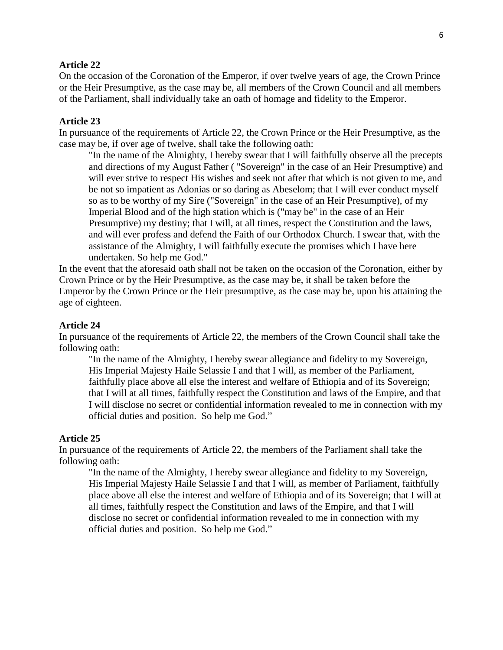On the occasion of the Coronation of the Emperor, if over twelve years of age, the Crown Prince or the Heir Presumptive, as the case may be, all members of the Crown Council and all members of the Parliament, shall individually take an oath of homage and fidelity to the Emperor.

#### **Article 23**

In pursuance of the requirements of Article 22, the Crown Prince or the Heir Presumptive, as the case may be, if over age of twelve, shall take the following oath:

"In the name of the Almighty, I hereby swear that I will faithfully observe all the precepts and directions of my August Father ( "Sovereign" in the case of an Heir Presumptive) and will ever strive to respect His wishes and seek not after that which is not given to me, and be not so impatient as Adonias or so daring as Abeselom; that I will ever conduct myself so as to be worthy of my Sire ("Sovereign" in the case of an Heir Presumptive), of my Imperial Blood and of the high station which is ("may be" in the case of an Heir Presumptive) my destiny; that I will, at all times, respect the Constitution and the laws, and will ever profess and defend the Faith of our Orthodox Church. I swear that, with the assistance of the Almighty, I will faithfully execute the promises which I have here undertaken. So help me God."

In the event that the aforesaid oath shall not be taken on the occasion of the Coronation, either by Crown Prince or by the Heir Presumptive, as the case may be, it shall be taken before the Emperor by the Crown Prince or the Heir presumptive, as the case may be, upon his attaining the age of eighteen.

#### **Article 24**

In pursuance of the requirements of Article 22, the members of the Crown Council shall take the following oath:

"In the name of the Almighty, I hereby swear allegiance and fidelity to my Sovereign, His Imperial Majesty Haile Selassie I and that I will, as member of the Parliament, faithfully place above all else the interest and welfare of Ethiopia and of its Sovereign; that I will at all times, faithfully respect the Constitution and laws of the Empire, and that I will disclose no secret or confidential information revealed to me in connection with my official duties and position. So help me God."

#### **Article 25**

In pursuance of the requirements of Article 22, the members of the Parliament shall take the following oath:

"In the name of the Almighty, I hereby swear allegiance and fidelity to my Sovereign, His Imperial Majesty Haile Selassie I and that I will, as member of Parliament, faithfully place above all else the interest and welfare of Ethiopia and of its Sovereign; that I will at all times, faithfully respect the Constitution and laws of the Empire, and that I will disclose no secret or confidential information revealed to me in connection with my official duties and position. So help me God."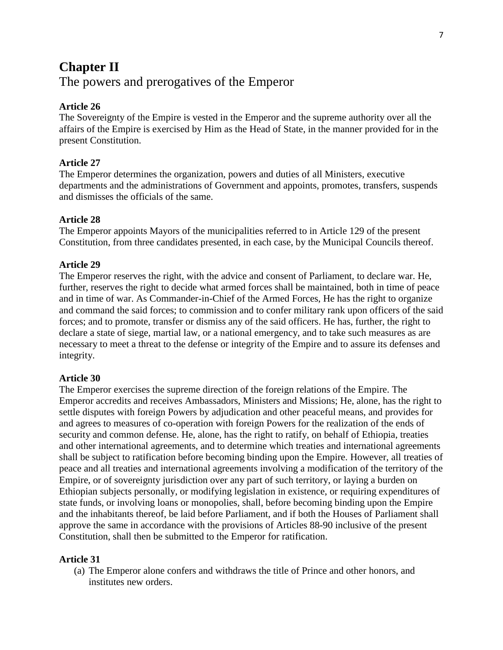# **Chapter II**  The powers and prerogatives of the Emperor

# **Article 26**

The Sovereignty of the Empire is vested in the Emperor and the supreme authority over all the affairs of the Empire is exercised by Him as the Head of State, in the manner provided for in the present Constitution.

# **Article 27**

The Emperor determines the organization, powers and duties of all Ministers, executive departments and the administrations of Government and appoints, promotes, transfers, suspends and dismisses the officials of the same.

# **Article 28**

The Emperor appoints Mayors of the municipalities referred to in Article 129 of the present Constitution, from three candidates presented, in each case, by the Municipal Councils thereof.

# **Article 29**

The Emperor reserves the right, with the advice and consent of Parliament, to declare war. He, further, reserves the right to decide what armed forces shall be maintained, both in time of peace and in time of war. As Commander-in-Chief of the Armed Forces, He has the right to organize and command the said forces; to commission and to confer military rank upon officers of the said forces; and to promote, transfer or dismiss any of the said officers. He has, further, the right to declare a state of siege, martial law, or a national emergency, and to take such measures as are necessary to meet a threat to the defense or integrity of the Empire and to assure its defenses and integrity.

## **Article 30**

The Emperor exercises the supreme direction of the foreign relations of the Empire. The Emperor accredits and receives Ambassadors, Ministers and Missions; He, alone, has the right to settle disputes with foreign Powers by adjudication and other peaceful means, and provides for and agrees to measures of co-operation with foreign Powers for the realization of the ends of security and common defense. He, alone, has the right to ratify, on behalf of Ethiopia, treaties and other international agreements, and to determine which treaties and international agreements shall be subject to ratification before becoming binding upon the Empire. However, all treaties of peace and all treaties and international agreements involving a modification of the territory of the Empire, or of sovereignty jurisdiction over any part of such territory, or laying a burden on Ethiopian subjects personally, or modifying legislation in existence, or requiring expenditures of state funds, or involving loans or monopolies, shall, before becoming binding upon the Empire and the inhabitants thereof, be laid before Parliament, and if both the Houses of Parliament shall approve the same in accordance with the provisions of Articles 88-90 inclusive of the present Constitution, shall then be submitted to the Emperor for ratification.

## **Article 31**

(a) The Emperor alone confers and withdraws the title of Prince and other honors, and institutes new orders.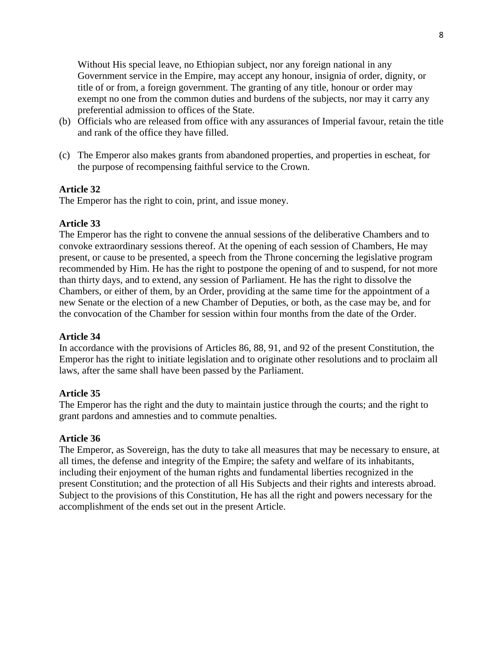Without His special leave, no Ethiopian subject, nor any foreign national in any Government service in the Empire, may accept any honour, insignia of order, dignity, or title of or from, a foreign government. The granting of any title, honour or order may exempt no one from the common duties and burdens of the subjects, nor may it carry any preferential admission to offices of the State.

- (b) Officials who are released from office with any assurances of Imperial favour, retain the title and rank of the office they have filled.
- (c) The Emperor also makes grants from abandoned properties, and properties in escheat, for the purpose of recompensing faithful service to the Crown.

## **Article 32**

The Emperor has the right to coin, print, and issue money.

## **Article 33**

The Emperor has the right to convene the annual sessions of the deliberative Chambers and to convoke extraordinary sessions thereof. At the opening of each session of Chambers, He may present, or cause to be presented, a speech from the Throne concerning the legislative program recommended by Him. He has the right to postpone the opening of and to suspend, for not more than thirty days, and to extend, any session of Parliament. He has the right to dissolve the Chambers, or either of them, by an Order, providing at the same time for the appointment of a new Senate or the election of a new Chamber of Deputies, or both, as the case may be, and for the convocation of the Chamber for session within four months from the date of the Order.

## **Article 34**

In accordance with the provisions of Articles 86, 88, 91, and 92 of the present Constitution, the Emperor has the right to initiate legislation and to originate other resolutions and to proclaim all laws, after the same shall have been passed by the Parliament.

## **Article 35**

The Emperor has the right and the duty to maintain justice through the courts; and the right to grant pardons and amnesties and to commute penalties.

#### **Article 36**

The Emperor, as Sovereign, has the duty to take all measures that may be necessary to ensure, at all times, the defense and integrity of the Empire; the safety and welfare of its inhabitants, including their enjoyment of the human rights and fundamental liberties recognized in the present Constitution; and the protection of all His Subjects and their rights and interests abroad. Subject to the provisions of this Constitution, He has all the right and powers necessary for the accomplishment of the ends set out in the present Article.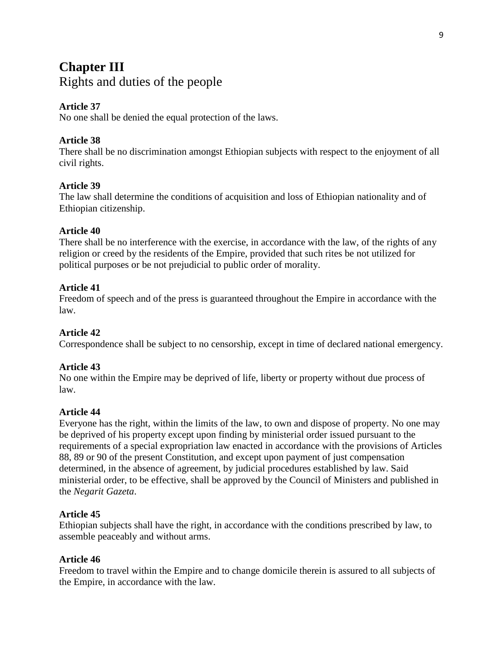# **Chapter III** Rights and duties of the people

# **Article 37**

No one shall be denied the equal protection of the laws.

# **Article 38**

There shall be no discrimination amongst Ethiopian subjects with respect to the enjoyment of all civil rights.

# **Article 39**

The law shall determine the conditions of acquisition and loss of Ethiopian nationality and of Ethiopian citizenship.

# **Article 40**

There shall be no interference with the exercise, in accordance with the law, of the rights of any religion or creed by the residents of the Empire, provided that such rites be not utilized for political purposes or be not prejudicial to public order of morality.

## **Article 41**

Freedom of speech and of the press is guaranteed throughout the Empire in accordance with the law.

# **Article 42**

Correspondence shall be subject to no censorship, except in time of declared national emergency.

## **Article 43**

No one within the Empire may be deprived of life, liberty or property without due process of law.

## **Article 44**

Everyone has the right, within the limits of the law, to own and dispose of property. No one may be deprived of his property except upon finding by ministerial order issued pursuant to the requirements of a special expropriation law enacted in accordance with the provisions of Articles 88, 89 or 90 of the present Constitution, and except upon payment of just compensation determined, in the absence of agreement, by judicial procedures established by law. Said ministerial order, to be effective, shall be approved by the Council of Ministers and published in the *Negarit Gazeta*.

## **Article 45**

Ethiopian subjects shall have the right, in accordance with the conditions prescribed by law, to assemble peaceably and without arms.

## **Article 46**

Freedom to travel within the Empire and to change domicile therein is assured to all subjects of the Empire, in accordance with the law.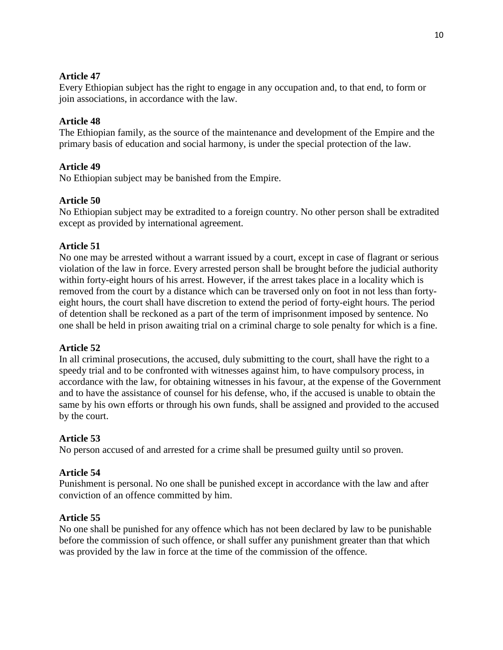Every Ethiopian subject has the right to engage in any occupation and, to that end, to form or join associations, in accordance with the law.

# **Article 48**

The Ethiopian family, as the source of the maintenance and development of the Empire and the primary basis of education and social harmony, is under the special protection of the law.

# **Article 49**

No Ethiopian subject may be banished from the Empire.

# **Article 50**

No Ethiopian subject may be extradited to a foreign country. No other person shall be extradited except as provided by international agreement.

## **Article 51**

No one may be arrested without a warrant issued by a court, except in case of flagrant or serious violation of the law in force. Every arrested person shall be brought before the judicial authority within forty-eight hours of his arrest. However, if the arrest takes place in a locality which is removed from the court by a distance which can be traversed only on foot in not less than fortyeight hours, the court shall have discretion to extend the period of forty-eight hours. The period of detention shall be reckoned as a part of the term of imprisonment imposed by sentence. No one shall be held in prison awaiting trial on a criminal charge to sole penalty for which is a fine.

## **Article 52**

In all criminal prosecutions, the accused, duly submitting to the court, shall have the right to a speedy trial and to be confronted with witnesses against him, to have compulsory process, in accordance with the law, for obtaining witnesses in his favour, at the expense of the Government and to have the assistance of counsel for his defense, who, if the accused is unable to obtain the same by his own efforts or through his own funds, shall be assigned and provided to the accused by the court.

# **Article 53**

No person accused of and arrested for a crime shall be presumed guilty until so proven.

## **Article 54**

Punishment is personal. No one shall be punished except in accordance with the law and after conviction of an offence committed by him.

## **Article 55**

No one shall be punished for any offence which has not been declared by law to be punishable before the commission of such offence, or shall suffer any punishment greater than that which was provided by the law in force at the time of the commission of the offence.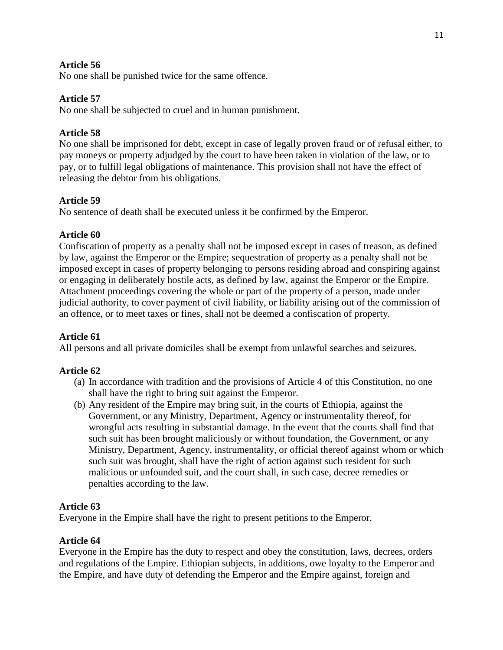No one shall be punished twice for the same offence.

# **Article 57**

No one shall be subjected to cruel and in human punishment.

# **Article 58**

No one shall be imprisoned for debt, except in case of legally proven fraud or of refusal either, to pay moneys or property adjudged by the court to have been taken in violation of the law, or to pay, or to fulfill legal obligations of maintenance. This provision shall not have the effect of releasing the debtor from his obligations.

# **Article 59**

No sentence of death shall be executed unless it be confirmed by the Emperor.

## **Article 60**

Confiscation of property as a penalty shall not be imposed except in cases of treason, as defined by law, against the Emperor or the Empire; sequestration of property as a penalty shall not be imposed except in cases of property belonging to persons residing abroad and conspiring against or engaging in deliberately hostile acts, as defined by law, against the Emperor or the Empire. Attachment proceedings covering the whole or part of the property of a person, made under judicial authority, to cover payment of civil liability, or liability arising out of the commission of an offence, or to meet taxes or fines, shall not be deemed a confiscation of property.

# **Article 61**

All persons and all private domiciles shall be exempt from unlawful searches and seizures.

## **Article 62**

- (a) In accordance with tradition and the provisions of Article 4 of this Constitution, no one shall have the right to bring suit against the Emperor.
- (b) Any resident of the Empire may bring suit, in the courts of Ethiopia, against the Government, or any Ministry, Department, Agency or instrumentality thereof, for wrongful acts resulting in substantial damage. In the event that the courts shall find that such suit has been brought maliciously or without foundation, the Government, or any Ministry, Department, Agency, instrumentality, or official thereof against whom or which such suit was brought, shall have the right of action against such resident for such malicious or unfounded suit, and the court shall, in such case, decree remedies or penalties according to the law.

## **Article 63**

Everyone in the Empire shall have the right to present petitions to the Emperor.

## **Article 64**

Everyone in the Empire has the duty to respect and obey the constitution, laws, decrees, orders and regulations of the Empire. Ethiopian subjects, in additions, owe loyalty to the Emperor and the Empire, and have duty of defending the Emperor and the Empire against, foreign and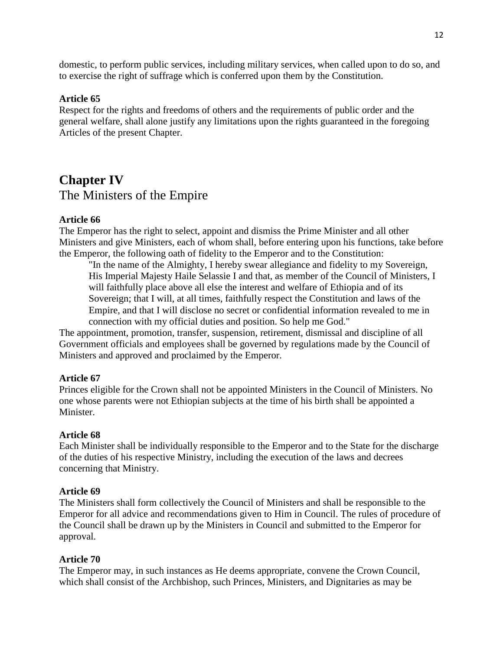domestic, to perform public services, including military services, when called upon to do so, and to exercise the right of suffrage which is conferred upon them by the Constitution.

## **Article 65**

Respect for the rights and freedoms of others and the requirements of public order and the general welfare, shall alone justify any limitations upon the rights guaranteed in the foregoing Articles of the present Chapter.

# **Chapter IV** The Ministers of the Empire

#### **Article 66**

The Emperor has the right to select, appoint and dismiss the Prime Minister and all other Ministers and give Ministers, each of whom shall, before entering upon his functions, take before the Emperor, the following oath of fidelity to the Emperor and to the Constitution:

"In the name of the Almighty, I hereby swear allegiance and fidelity to my Sovereign, His Imperial Majesty Haile Selassie I and that, as member of the Council of Ministers, I will faithfully place above all else the interest and welfare of Ethiopia and of its Sovereign; that I will, at all times, faithfully respect the Constitution and laws of the Empire, and that I will disclose no secret or confidential information revealed to me in connection with my official duties and position. So help me God."

The appointment, promotion, transfer, suspension, retirement, dismissal and discipline of all Government officials and employees shall be governed by regulations made by the Council of Ministers and approved and proclaimed by the Emperor.

#### **Article 67**

Princes eligible for the Crown shall not be appointed Ministers in the Council of Ministers. No one whose parents were not Ethiopian subjects at the time of his birth shall be appointed a Minister.

#### **Article 68**

Each Minister shall be individually responsible to the Emperor and to the State for the discharge of the duties of his respective Ministry, including the execution of the laws and decrees concerning that Ministry.

#### **Article 69**

The Ministers shall form collectively the Council of Ministers and shall be responsible to the Emperor for all advice and recommendations given to Him in Council. The rules of procedure of the Council shall be drawn up by the Ministers in Council and submitted to the Emperor for approval.

#### **Article 70**

The Emperor may, in such instances as He deems appropriate, convene the Crown Council, which shall consist of the Archbishop, such Princes, Ministers, and Dignitaries as may be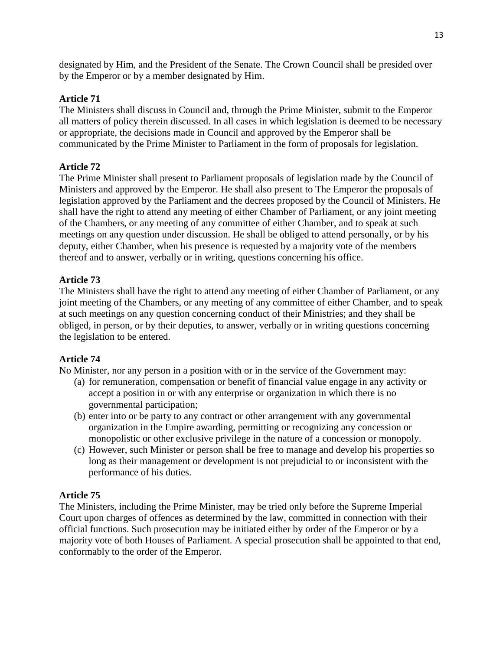designated by Him, and the President of the Senate. The Crown Council shall be presided over by the Emperor or by a member designated by Him.

# **Article 71**

The Ministers shall discuss in Council and, through the Prime Minister, submit to the Emperor all matters of policy therein discussed. In all cases in which legislation is deemed to be necessary or appropriate, the decisions made in Council and approved by the Emperor shall be communicated by the Prime Minister to Parliament in the form of proposals for legislation.

# **Article 72**

The Prime Minister shall present to Parliament proposals of legislation made by the Council of Ministers and approved by the Emperor. He shall also present to The Emperor the proposals of legislation approved by the Parliament and the decrees proposed by the Council of Ministers. He shall have the right to attend any meeting of either Chamber of Parliament, or any joint meeting of the Chambers, or any meeting of any committee of either Chamber, and to speak at such meetings on any question under discussion. He shall be obliged to attend personally, or by his deputy, either Chamber, when his presence is requested by a majority vote of the members thereof and to answer, verbally or in writing, questions concerning his office.

# **Article 73**

The Ministers shall have the right to attend any meeting of either Chamber of Parliament, or any joint meeting of the Chambers, or any meeting of any committee of either Chamber, and to speak at such meetings on any question concerning conduct of their Ministries; and they shall be obliged, in person, or by their deputies, to answer, verbally or in writing questions concerning the legislation to be entered.

# **Article 74**

No Minister, nor any person in a position with or in the service of the Government may:

- (a) for remuneration, compensation or benefit of financial value engage in any activity or accept a position in or with any enterprise or organization in which there is no governmental participation;
- (b) enter into or be party to any contract or other arrangement with any governmental organization in the Empire awarding, permitting or recognizing any concession or monopolistic or other exclusive privilege in the nature of a concession or monopoly.
- (c) However, such Minister or person shall be free to manage and develop his properties so long as their management or development is not prejudicial to or inconsistent with the performance of his duties.

## **Article 75**

The Ministers, including the Prime Minister, may be tried only before the Supreme Imperial Court upon charges of offences as determined by the law, committed in connection with their official functions. Such prosecution may be initiated either by order of the Emperor or by a majority vote of both Houses of Parliament. A special prosecution shall be appointed to that end, conformably to the order of the Emperor.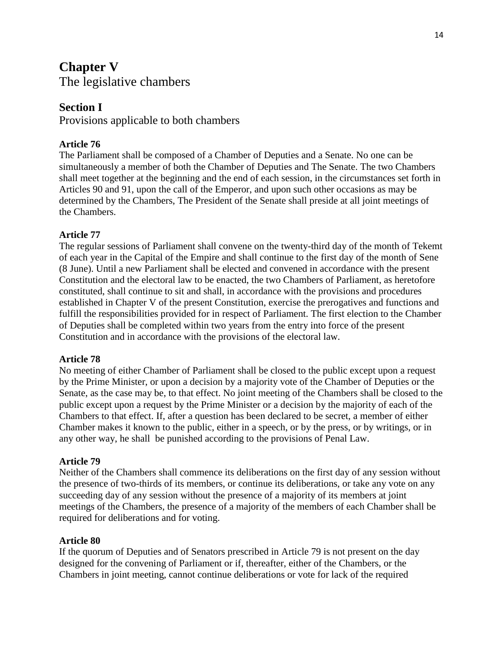# **Chapter V**

The legislative chambers

# **Section I**

Provisions applicable to both chambers

# **Article 76**

The Parliament shall be composed of a Chamber of Deputies and a Senate. No one can be simultaneously a member of both the Chamber of Deputies and The Senate. The two Chambers shall meet together at the beginning and the end of each session, in the circumstances set forth in Articles 90 and 91, upon the call of the Emperor, and upon such other occasions as may be determined by the Chambers, The President of the Senate shall preside at all joint meetings of the Chambers.

# **Article 77**

The regular sessions of Parliament shall convene on the twenty-third day of the month of Tekemt of each year in the Capital of the Empire and shall continue to the first day of the month of Sene (8 June). Until a new Parliament shall be elected and convened in accordance with the present Constitution and the electoral law to be enacted, the two Chambers of Parliament, as heretofore constituted, shall continue to sit and shall, in accordance with the provisions and procedures established in Chapter V of the present Constitution, exercise the prerogatives and functions and fulfill the responsibilities provided for in respect of Parliament. The first election to the Chamber of Deputies shall be completed within two years from the entry into force of the present Constitution and in accordance with the provisions of the electoral law.

## **Article 78**

No meeting of either Chamber of Parliament shall be closed to the public except upon a request by the Prime Minister, or upon a decision by a majority vote of the Chamber of Deputies or the Senate, as the case may be, to that effect. No joint meeting of the Chambers shall be closed to the public except upon a request by the Prime Minister or a decision by the majority of each of the Chambers to that effect. If, after a question has been declared to be secret, a member of either Chamber makes it known to the public, either in a speech, or by the press, or by writings, or in any other way, he shall be punished according to the provisions of Penal Law.

## **Article 79**

Neither of the Chambers shall commence its deliberations on the first day of any session without the presence of two-thirds of its members, or continue its deliberations, or take any vote on any succeeding day of any session without the presence of a majority of its members at joint meetings of the Chambers, the presence of a majority of the members of each Chamber shall be required for deliberations and for voting.

## **Article 80**

If the quorum of Deputies and of Senators prescribed in Article 79 is not present on the day designed for the convening of Parliament or if, thereafter, either of the Chambers, or the Chambers in joint meeting, cannot continue deliberations or vote for lack of the required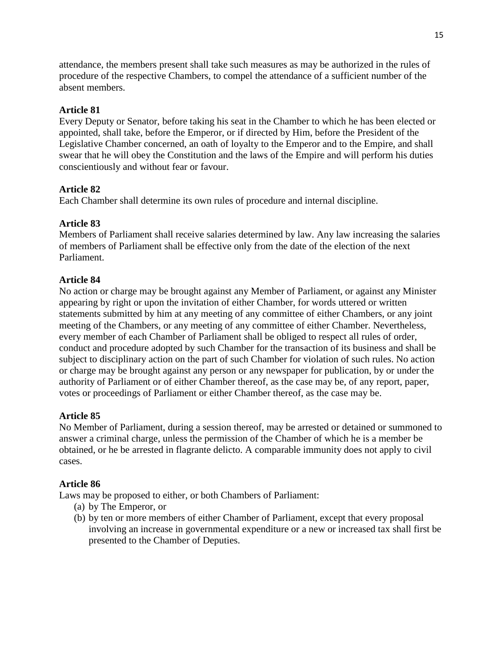attendance, the members present shall take such measures as may be authorized in the rules of procedure of the respective Chambers, to compel the attendance of a sufficient number of the absent members.

# **Article 81**

Every Deputy or Senator, before taking his seat in the Chamber to which he has been elected or appointed, shall take, before the Emperor, or if directed by Him, before the President of the Legislative Chamber concerned, an oath of loyalty to the Emperor and to the Empire, and shall swear that he will obey the Constitution and the laws of the Empire and will perform his duties conscientiously and without fear or favour.

## **Article 82**

Each Chamber shall determine its own rules of procedure and internal discipline.

## **Article 83**

Members of Parliament shall receive salaries determined by law. Any law increasing the salaries of members of Parliament shall be effective only from the date of the election of the next Parliament.

#### **Article 84**

No action or charge may be brought against any Member of Parliament, or against any Minister appearing by right or upon the invitation of either Chamber, for words uttered or written statements submitted by him at any meeting of any committee of either Chambers, or any joint meeting of the Chambers, or any meeting of any committee of either Chamber. Nevertheless, every member of each Chamber of Parliament shall be obliged to respect all rules of order, conduct and procedure adopted by such Chamber for the transaction of its business and shall be subject to disciplinary action on the part of such Chamber for violation of such rules. No action or charge may be brought against any person or any newspaper for publication, by or under the authority of Parliament or of either Chamber thereof, as the case may be, of any report, paper, votes or proceedings of Parliament or either Chamber thereof, as the case may be.

## **Article 85**

No Member of Parliament, during a session thereof, may be arrested or detained or summoned to answer a criminal charge, unless the permission of the Chamber of which he is a member be obtained, or he be arrested in flagrante delicto. A comparable immunity does not apply to civil cases.

#### **Article 86**

Laws may be proposed to either, or both Chambers of Parliament:

- (a) by The Emperor, or
- (b) by ten or more members of either Chamber of Parliament, except that every proposal involving an increase in governmental expenditure or a new or increased tax shall first be presented to the Chamber of Deputies.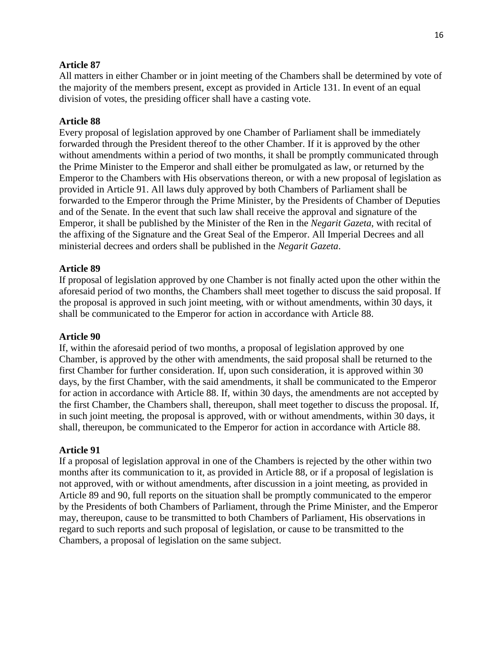All matters in either Chamber or in joint meeting of the Chambers shall be determined by vote of the majority of the members present, except as provided in Article 131. In event of an equal division of votes, the presiding officer shall have a casting vote.

#### **Article 88**

Every proposal of legislation approved by one Chamber of Parliament shall be immediately forwarded through the President thereof to the other Chamber. If it is approved by the other without amendments within a period of two months, it shall be promptly communicated through the Prime Minister to the Emperor and shall either be promulgated as law, or returned by the Emperor to the Chambers with His observations thereon, or with a new proposal of legislation as provided in Article 91. All laws duly approved by both Chambers of Parliament shall be forwarded to the Emperor through the Prime Minister, by the Presidents of Chamber of Deputies and of the Senate. In the event that such law shall receive the approval and signature of the Emperor, it shall be published by the Minister of the Ren in the *Negarit Gazeta*, with recital of the affixing of the Signature and the Great Seal of the Emperor. All Imperial Decrees and all ministerial decrees and orders shall be published in the *Negarit Gazeta*.

#### **Article 89**

If proposal of legislation approved by one Chamber is not finally acted upon the other within the aforesaid period of two months, the Chambers shall meet together to discuss the said proposal. If the proposal is approved in such joint meeting, with or without amendments, within 30 days, it shall be communicated to the Emperor for action in accordance with Article 88.

#### **Article 90**

If, within the aforesaid period of two months, a proposal of legislation approved by one Chamber, is approved by the other with amendments, the said proposal shall be returned to the first Chamber for further consideration. If, upon such consideration, it is approved within 30 days, by the first Chamber, with the said amendments, it shall be communicated to the Emperor for action in accordance with Article 88. If, within 30 days, the amendments are not accepted by the first Chamber, the Chambers shall, thereupon, shall meet together to discuss the proposal. If, in such joint meeting, the proposal is approved, with or without amendments, within 30 days, it shall, thereupon, be communicated to the Emperor for action in accordance with Article 88.

#### **Article 91**

If a proposal of legislation approval in one of the Chambers is rejected by the other within two months after its communication to it, as provided in Article 88, or if a proposal of legislation is not approved, with or without amendments, after discussion in a joint meeting, as provided in Article 89 and 90, full reports on the situation shall be promptly communicated to the emperor by the Presidents of both Chambers of Parliament, through the Prime Minister, and the Emperor may, thereupon, cause to be transmitted to both Chambers of Parliament, His observations in regard to such reports and such proposal of legislation, or cause to be transmitted to the Chambers, a proposal of legislation on the same subject.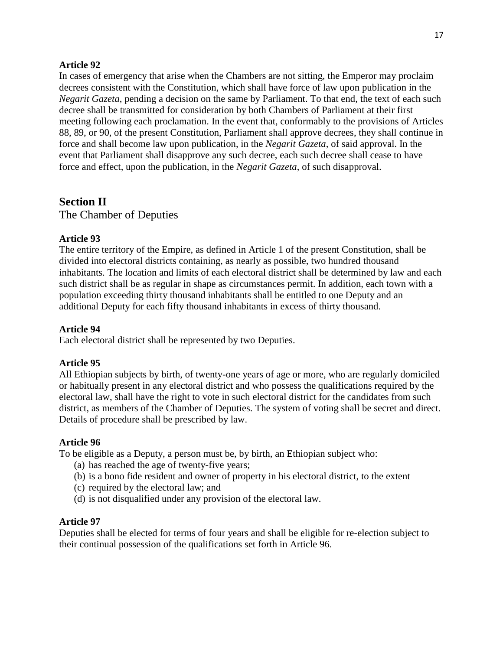In cases of emergency that arise when the Chambers are not sitting, the Emperor may proclaim decrees consistent with the Constitution, which shall have force of law upon publication in the *Negarit Gazeta*, pending a decision on the same by Parliament. To that end, the text of each such decree shall be transmitted for consideration by both Chambers of Parliament at their first meeting following each proclamation. In the event that, conformably to the provisions of Articles 88, 89, or 90, of the present Constitution, Parliament shall approve decrees, they shall continue in force and shall become law upon publication, in the *Negarit Gazeta*, of said approval. In the event that Parliament shall disapprove any such decree, each such decree shall cease to have force and effect, upon the publication, in the *Negarit Gazeta*, of such disapproval.

# **Section II**

The Chamber of Deputies

# **Article 93**

The entire territory of the Empire, as defined in Article 1 of the present Constitution, shall be divided into electoral districts containing, as nearly as possible, two hundred thousand inhabitants. The location and limits of each electoral district shall be determined by law and each such district shall be as regular in shape as circumstances permit. In addition, each town with a population exceeding thirty thousand inhabitants shall be entitled to one Deputy and an additional Deputy for each fifty thousand inhabitants in excess of thirty thousand.

# **Article 94**

Each electoral district shall be represented by two Deputies.

## **Article 95**

All Ethiopian subjects by birth, of twenty-one years of age or more, who are regularly domiciled or habitually present in any electoral district and who possess the qualifications required by the electoral law, shall have the right to vote in such electoral district for the candidates from such district, as members of the Chamber of Deputies. The system of voting shall be secret and direct. Details of procedure shall be prescribed by law.

## **Article 96**

To be eligible as a Deputy, a person must be, by birth, an Ethiopian subject who:

- (a) has reached the age of twenty-five years;
- (b) is a bono fide resident and owner of property in his electoral district, to the extent
- (c) required by the electoral law; and
- (d) is not disqualified under any provision of the electoral law.

## **Article 97**

Deputies shall be elected for terms of four years and shall be eligible for re-election subject to their continual possession of the qualifications set forth in Article 96.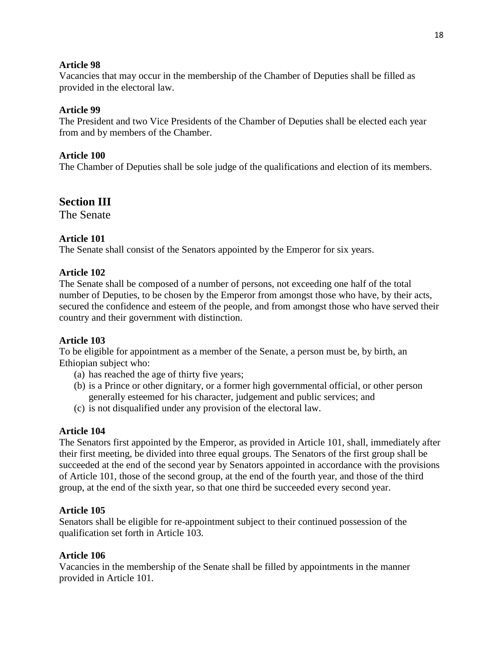Vacancies that may occur in the membership of the Chamber of Deputies shall be filled as provided in the electoral law.

# **Article 99**

The President and two Vice Presidents of the Chamber of Deputies shall be elected each year from and by members of the Chamber.

# **Article 100**

The Chamber of Deputies shall be sole judge of the qualifications and election of its members.

# **Section III**

The Senate

# **Article 101**

The Senate shall consist of the Senators appointed by the Emperor for six years.

## **Article 102**

The Senate shall be composed of a number of persons, not exceeding one half of the total number of Deputies, to be chosen by the Emperor from amongst those who have, by their acts, secured the confidence and esteem of the people, and from amongst those who have served their country and their government with distinction.

## **Article 103**

To be eligible for appointment as a member of the Senate, a person must be, by birth, an Ethiopian subject who:

- (a) has reached the age of thirty five years;
- (b) is a Prince or other dignitary, or a former high governmental official, or other person generally esteemed for his character, judgement and public services; and
- (c) is not disqualified under any provision of the electoral law.

## **Article 104**

The Senators first appointed by the Emperor, as provided in Article 101, shall, immediately after their first meeting, be divided into three equal groups. The Senators of the first group shall be succeeded at the end of the second year by Senators appointed in accordance with the provisions of Article 101, those of the second group, at the end of the fourth year, and those of the third group, at the end of the sixth year, so that one third be succeeded every second year.

## **Article 105**

Senators shall be eligible for re-appointment subject to their continued possession of the qualification set forth in Article 103.

## **Article 106**

Vacancies in the membership of the Senate shall be filled by appointments in the manner provided in Article 101.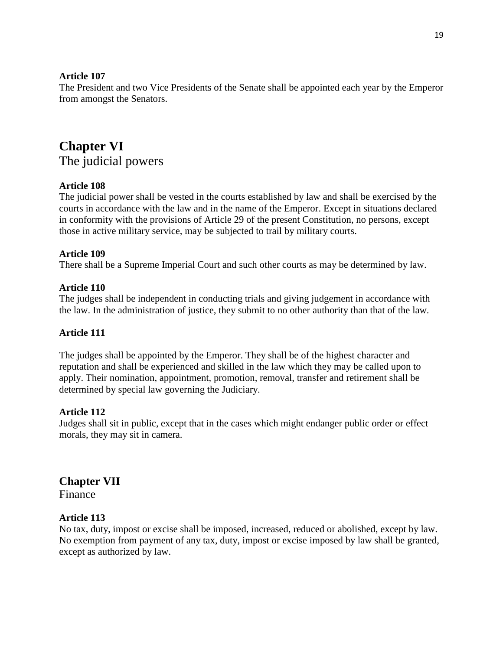The President and two Vice Presidents of the Senate shall be appointed each year by the Emperor from amongst the Senators.

# **Chapter VI** The judicial powers

# **Article 108**

The judicial power shall be vested in the courts established by law and shall be exercised by the courts in accordance with the law and in the name of the Emperor. Except in situations declared in conformity with the provisions of Article 29 of the present Constitution, no persons, except those in active military service, may be subjected to trail by military courts.

## **Article 109**

There shall be a Supreme Imperial Court and such other courts as may be determined by law.

#### **Article 110**

The judges shall be independent in conducting trials and giving judgement in accordance with the law. In the administration of justice, they submit to no other authority than that of the law.

## **Article 111**

The judges shall be appointed by the Emperor. They shall be of the highest character and reputation and shall be experienced and skilled in the law which they may be called upon to apply. Their nomination, appointment, promotion, removal, transfer and retirement shall be determined by special law governing the Judiciary.

## **Article 112**

Judges shall sit in public, except that in the cases which might endanger public order or effect morals, they may sit in camera.

**Chapter VII** Finance

#### **Article 113**

No tax, duty, impost or excise shall be imposed, increased, reduced or abolished, except by law. No exemption from payment of any tax, duty, impost or excise imposed by law shall be granted, except as authorized by law.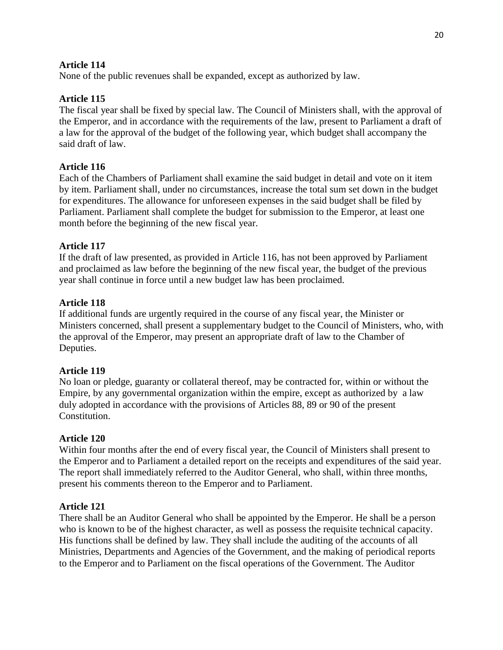None of the public revenues shall be expanded, except as authorized by law.

# **Article 115**

The fiscal year shall be fixed by special law. The Council of Ministers shall, with the approval of the Emperor, and in accordance with the requirements of the law, present to Parliament a draft of a law for the approval of the budget of the following year, which budget shall accompany the said draft of law.

# **Article 116**

Each of the Chambers of Parliament shall examine the said budget in detail and vote on it item by item. Parliament shall, under no circumstances, increase the total sum set down in the budget for expenditures. The allowance for unforeseen expenses in the said budget shall be filed by Parliament. Parliament shall complete the budget for submission to the Emperor, at least one month before the beginning of the new fiscal year.

# **Article 117**

If the draft of law presented, as provided in Article 116, has not been approved by Parliament and proclaimed as law before the beginning of the new fiscal year, the budget of the previous year shall continue in force until a new budget law has been proclaimed.

# **Article 118**

If additional funds are urgently required in the course of any fiscal year, the Minister or Ministers concerned, shall present a supplementary budget to the Council of Ministers, who, with the approval of the Emperor, may present an appropriate draft of law to the Chamber of Deputies.

## **Article 119**

No loan or pledge, guaranty or collateral thereof, may be contracted for, within or without the Empire, by any governmental organization within the empire, except as authorized by a law duly adopted in accordance with the provisions of Articles 88, 89 or 90 of the present Constitution.

## **Article 120**

Within four months after the end of every fiscal year, the Council of Ministers shall present to the Emperor and to Parliament a detailed report on the receipts and expenditures of the said year. The report shall immediately referred to the Auditor General, who shall, within three months, present his comments thereon to the Emperor and to Parliament.

## **Article 121**

There shall be an Auditor General who shall be appointed by the Emperor. He shall be a person who is known to be of the highest character, as well as possess the requisite technical capacity. His functions shall be defined by law. They shall include the auditing of the accounts of all Ministries, Departments and Agencies of the Government, and the making of periodical reports to the Emperor and to Parliament on the fiscal operations of the Government. The Auditor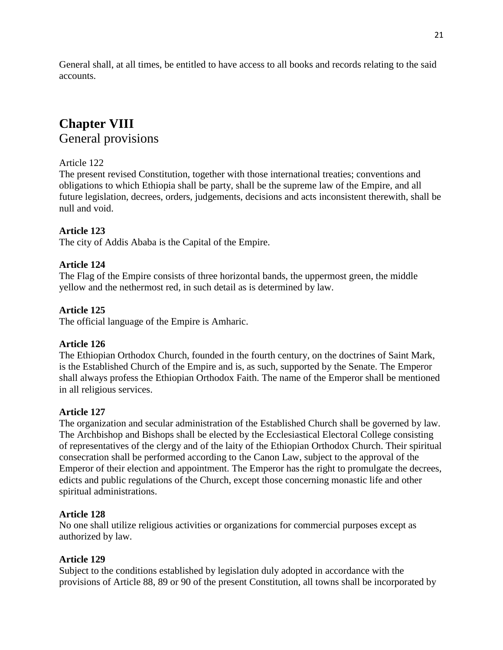General shall, at all times, be entitled to have access to all books and records relating to the said accounts.

# **Chapter VIII** General provisions

# Article 122

The present revised Constitution, together with those international treaties; conventions and obligations to which Ethiopia shall be party, shall be the supreme law of the Empire, and all future legislation, decrees, orders, judgements, decisions and acts inconsistent therewith, shall be null and void.

# **Article 123**

The city of Addis Ababa is the Capital of the Empire.

# **Article 124**

The Flag of the Empire consists of three horizontal bands, the uppermost green, the middle yellow and the nethermost red, in such detail as is determined by law.

# **Article 125**

The official language of the Empire is Amharic.

# **Article 126**

The Ethiopian Orthodox Church, founded in the fourth century, on the doctrines of Saint Mark, is the Established Church of the Empire and is, as such, supported by the Senate. The Emperor shall always profess the Ethiopian Orthodox Faith. The name of the Emperor shall be mentioned in all religious services.

# **Article 127**

The organization and secular administration of the Established Church shall be governed by law. The Archbishop and Bishops shall be elected by the Ecclesiastical Electoral College consisting of representatives of the clergy and of the laity of the Ethiopian Orthodox Church. Their spiritual consecration shall be performed according to the Canon Law, subject to the approval of the Emperor of their election and appointment. The Emperor has the right to promulgate the decrees, edicts and public regulations of the Church, except those concerning monastic life and other spiritual administrations.

# **Article 128**

No one shall utilize religious activities or organizations for commercial purposes except as authorized by law.

# **Article 129**

Subject to the conditions established by legislation duly adopted in accordance with the provisions of Article 88, 89 or 90 of the present Constitution, all towns shall be incorporated by